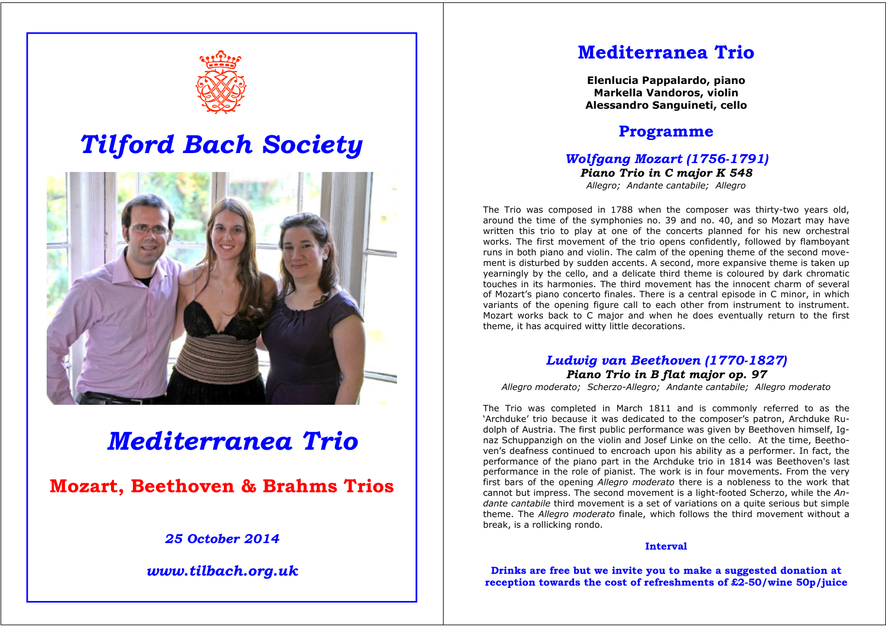

# *Tilford Bach Society*



# *Mediterranea Trio*

**Mozart, Beethoven & Brahms Trios** 

# *25 October 2014*

*www.tilbach.org.uk* 

# **Mediterranea Trio**

**Elenlucia Pappalardo, piano Markella Vandoros, violin Alessandro Sanguineti, cello** 

# **Programme**

#### *Wolfgang Mozart (1756-1791) Piano Trio in C major K 548 Allegro; Andante cantabile; Allegro*

The Trio was composed in 1788 when the composer was thirty-two years old, around the time of the symphonies no. 39 and no. 40, and so Mozart may have written this trio to play at one of the concerts planned for his new orchestral works. The first movement of the trio opens confidently, followed by flamboyant runs in both piano and violin. The calm of the opening theme of the second movement is disturbed by sudden accents. A second, more expansive theme is taken up yearningly by the cello, and a delicate third theme is coloured by dark chromatic touches in its harmonies. The third movement has the innocent charm of several of Mozart's piano concerto finales. There is a central episode in C minor, in which variants of the opening figure call to each other from instrument to instrument. Mozart works back to C major and when he does eventually return to the first theme, it has acquired witty little decorations.

# *Ludwig van Beethoven (1770-1827) Piano Trio in B flat major op. 97*

*Allegro moderato; Scherzo-Allegro; Andante cantabile; Allegro moderato*

The Trio was completed in March 1811 and is commonly referred to as the 'Archduke' trio because it was dedicated to the composer's patron, Archduke Rudolph of Austria. The first public performance was given by Beethoven himself, Ignaz Schuppanzigh on the violin and Josef Linke on the cello. At the time, Beethoven's deafness continued to encroach upon his ability as a performer. In fact, the performance of the piano part in the Archduke trio in 1814 was Beethoven's last performance in the role of pianist. The work is in four movements. From the very first bars of the opening *Allegro moderato* there is a nobleness to the work that cannot but impress. The second movement is a light-footed Scherzo, while the *Andante cantabile* third movement is a set of variations on a quite serious but simple theme. The *Allegro moderato* finale, which follows the third movement without a break, is a rollicking rondo.

#### **Interval**

**Drinks are free but we invite you to make a suggested donation at reception towards the cost of refreshments of £2-50/wine 50p/juice**